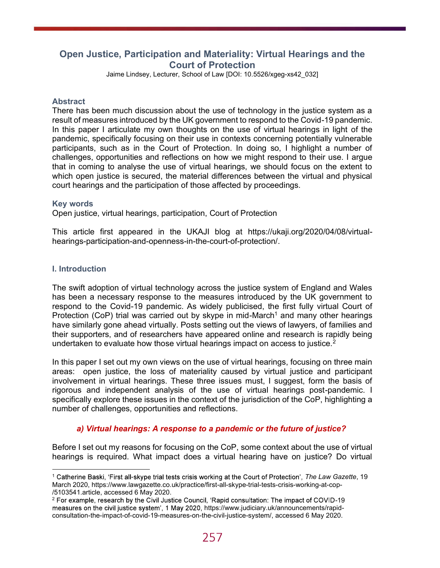# Open Justice, Participation and Materiality: Virtual Hearings and the Court of Protection

Jaime Lindsey, Lecturer, School of Law [DOI: 10.5526/xgeg-xs42\_032]

#### **Abstract**

There has been much discussion about the use of technology in the justice system as a result of measures introduced by the UK government to respond to the Covid-19 pandemic. In this paper I articulate my own thoughts on the use of virtual hearings in light of the pandemic, specifically focusing on their use in contexts concerning potentially vulnerable participants, such as in the Court of Protection. In doing so, I highlight a number of challenges, opportunities and reflections on how we might respond to their use. I argue that in coming to analyse the use of virtual hearings, we should focus on the extent to which open justice is secured, the material differences between the virtual and physical court hearings and the participation of those affected by proceedings.

Key words<br>Open justice, virtual hearings, participation, Court of Protection

This article first appeared in the UKAJI blog at https://ukaji.org/2020/04/08/virtualhearings-participation-and-openness-in-the-court-of-protection/.

### I. Introduction

The swift adoption of virtual technology across the justice system of England and Wales has been a necessary response to the measures introduced by the UK government to respond to the Covid-19 pandemic. As widely publicised, the first fully virtual Court of Protection (CoP) trial was carried out by skype in mid-March<sup>1</sup> and many other hearings have similarly gone ahead virtually. Posts setting out the views of lawyers, of families and their supporters, and of researchers have appeared online and research is rapidly being undertaken to evaluate how those virtual hearings impact on access to justice.<sup>2</sup>

In this paper I set out my own views on the use of virtual hearings, focusing on three main areas: open justice, the loss of materiality caused by virtual justice and participant involvement in virtual hearings. These three issues must, I suggest, form the basis of rigorous and independent analysis of the use of virtual hearings post-pandemic. I specifically explore these issues in the context of the jurisdiction of the CoP, highlighting a number of challenges, opportunities and reflections.

## a) Virtual hearings: A response to a pandemic or the future of justice?

Before I set out my reasons for focusing on the CoP, some context about the use of virtual hearings is required. What impact does a virtual hearing have on justice? Do virtual

<sup>&</sup>lt;sup>1</sup> Catherine Baski, 'First all-skype trial tests crisis working at the Court of Protection', The Law Gazette, 19 March 2020, https://www.lawgazette.co.uk/practice/first-all-skype-trial-tests-crisis-working-at-cop-

<sup>/5103541.</sup>article, accessed 6 May 2020.<br><sup>2</sup> For example, research by the Civil Justice Council, 'Rapid consultation: The impact of COVID-19 measures on the civil justice system', 1 May 2020, https://www.judiciary.uk/announcements/rapidconsultation-the-impact-of-covid-19-measures-on-the-civil-justice-system/, accessed 6 May 2020.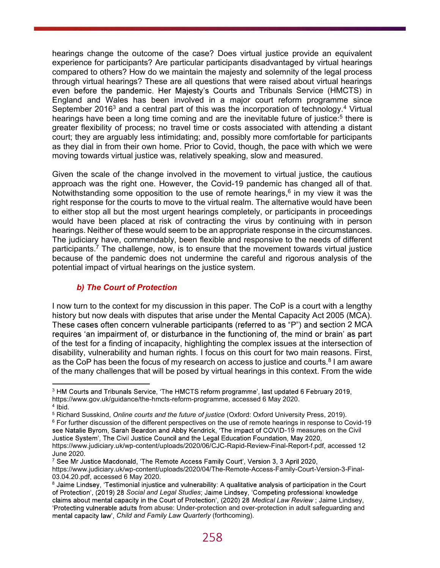hearings change the outcome of the case? Does virtual justice provide an equivalent experience for participants? Are particular participants disadvantaged by virtual hearings compared to others? How do we maintain the majesty and solemnity of the legal process through virtual hearings? These are all questions that were raised about virtual hearings even before the pandemic. Her Majesty's Courts and Tribunals Service (HMCTS) in England and Wales has been involved in a major court reform programme since September 2016<sup>3</sup> and a central part of this was the incorporation of technology.<sup>4</sup> Virtual hearings have been a long time coming and are the inevitable future of justice:<sup>5</sup> there is greater flexibility of process; no travel time or costs associated with attending a distant court; they are arguably less intimidating; and, possibly more comfortable for participants as they dial in from their own home. Prior to Covid, though, the pace with which we were moving towards virtual justice was, relatively speaking, slow and measured.

Given the scale of the change involved in the movement to virtual justice, the cautious approach was the right one. However, the Covid-19 pandemic has changed all of that. Notwithstanding some opposition to the use of remote hearings, $^6$  in my view it was the right response for the courts to move to the virtual realm. The alternative would have been to either stop all but the most urgent hearings completely, or participants in proceedings would have been placed at risk of contracting the virus by continuing with in person hearings. Neither of these would seem to be an appropriate response in the circumstances. The judiciary have, commendably, been flexible and responsive to the needs of different participants.7 The challenge, now, is to ensure that the movement towards virtual justice because of the pandemic does not undermine the careful and rigorous analysis of the potential impact of virtual hearings on the justice system.

## b) The Court of Protection

I now turn to the context for my discussion in this paper. The CoP is a court with a lengthy history but now deals with disputes that arise under the Mental Capacity Act 2005 (MCA). These cases often concern vulnerable participants (referred to as "P") and section 2 MCA requires 'an impairment of, or disturbance in the functioning of, the mind or brain' as part of the test for a finding of incapacity, highlighting the complex issues at the intersection of disability, vulnerability and human rights. I focus on this court for two main reasons. First, as the CoP has been the focus of my research on access to justice and courts. $^8$  I am aware of the many challenges that will be posed by virtual hearings in this context. From the wide

<sup>&</sup>lt;sup>3</sup> HM Courts and Tribunals Service, 'The HMCTS reform programme', last updated 6 February 2019, https://www.gov.uk/guidance/the-hmcts-reform-programme, accessed 6 May 2020. 4

<sup>&</sup>lt;sup>4</sup> Ibid.<br><sup>5</sup> Richard Susskind, *Online courts and the future of justice* (Oxford: Oxford University Press, 2019).

 $^6$  For further discussion of the different perspectives on the use of remote hearings in response to Covid-19  $\,$ see Natalie Byrom, Sarah Beardon and Abby Kendrick, 'The impact of COVID-19 measures on the Civil<br>Justice System', The Civil Justice Council and the Legal Education Foundation, May 2020, https://www.judiciary.uk/wp-content/uploads/2020/06/CJC-Rapid-Review-Final-Report-f.pdf, accessed 12 June 2020.<br>7 See Mr Justice Macdonald, 'The Remote Access Family Court', Version 3, 3 April 2020,

https://www.judiciary.uk/wp-content/uploads/2020/04/The-Remote-Access-Family-Court-Version-3-Final-03.04.20.pdf, accessed 6 May 2020.

<sup>&</sup>lt;sup>8</sup> Jaime Lindsey, 'Testimonial injustice and vulnerability: A qualitative analysis of participation in the Court of Protection', (2019) 28 Social and Legal Studies; Jaime Lindsey, 'Competing professional knowledge claims about mental capacity in the Court of Protection', (2020) 28 Medical Law Review ; Jaime Lindsey, 'Protecting vulnerable adults from abuse: Under-protection and over-protection in adult safeguarding and mental capacity law', Child and Family Law Quarterly (forthcoming).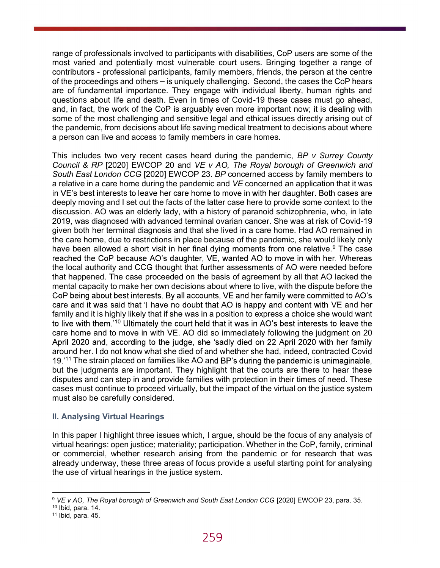range of professionals involved to participants with disabilities, CoP users are some of the most varied and potentially most vulnerable court users. Bringing together a range of contributors - professional participants, family members, friends, the person at the centre of the proceedings and others – is uniquely challenging. Second, the cases the CoP hears are of fundamental importance. They engage with individual liberty, human rights and questions about life and death. Even in times of Covid-19 these cases must go ahead, and, in fact, the work of the CoP is arguably even more important now; it is dealing with some of the most challenging and sensitive legal and ethical issues directly arising out of the pandemic, from decisions about life saving medical treatment to decisions about where a person can live and access to family members in care homes.

This includes two very recent cases heard during the pandemic,  $BP$  v Surrey County Council & RP [2020] EWCOP 20 and VE v AO, The Royal borough of Greenwich and South East London CCG [2020] EWCOP 23. BP concerned access by family members to a relative in a care home during the pandemic and VE concerned an application that it was in VE's best interests to leave her care home to move in with her daughter. Both cases are deeply moving and I set out the facts of the latter case here to provide some context to the discussion. AO was an elderly lady, with a history of paranoid schizophrenia, who, in late 2019, was diagnosed with advanced terminal ovarian cancer. She was at risk of Covid-19 given both her terminal diagnosis and that she lived in a care home. Had AO remained in the care home, due to restrictions in place because of the pandemic, she would likely only have been allowed a short visit in her final dying moments from one relative.<sup>9</sup> The case reached the CoP because AO's daughter, VE, wanted AO to move in with her. Whereas the local authority and CCG thought that further assessments of AO were needed before that happened. The case proceeded on the basis of agreement by all that AO lacked the mental capacity to make her own decisions about where to live, with the dispute before the CoP being about best interests. By all accounts, VE and her family were committed to AO's care and it was said that 'I have no doubt that AO is happy and content with VE and her family and it is highly likely that if she was in a position to express a choice she would want to live with them.<sup>10</sup> Ultimately the court held that it was in AO's best interests to leave the care home and to move in with VE. AO did so immediately following the judgment on 20 April 2020 and, according to the judge, she 'sadly died on 22 April 2020 with her family around her. I do not know what she died of and whether she had, indeed, contracted Covid  $19.^{11}$  The strain placed on families like AO and BP's during the pandemic is unimaginable, but the judgments are important. They highlight that the courts are there to hear these disputes and can step in and provide families with protection in their times of need. These cases must continue to proceed virtually, but the impact of the virtual on the justice system must also be carefully considered.

### II. Analysing Virtual Hearings

In this paper I highlight three issues which, I argue, should be the focus of any analysis of virtual hearings: open justice; materiality; participation. Whether in the CoP, family, criminal or commercial, whether research arising from the pandemic or for research that was already underway, these three areas of focus provide a useful starting point for analysing the use of virtual hearings in the justice system.

<sup>9</sup> VE v AO, The Royal borough of Greenwich and South East London CCG [2020] EWCOP 23, para. 35.

 $10$  Ibid, para. 14.<br> $11$  Ibid, para. 45.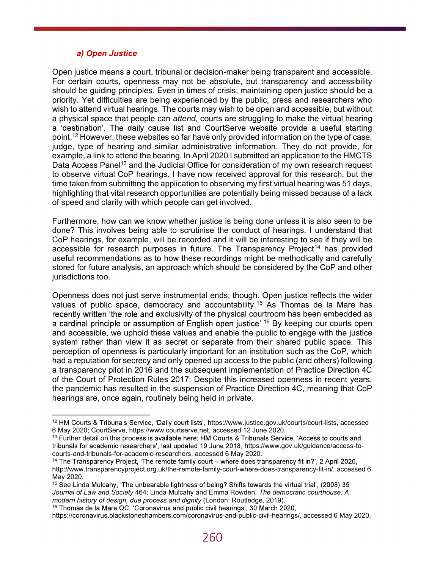#### a) Open Justice

Open justice means a court, tribunal or decision-maker being transparent and accessible. For certain courts, openness may not be absolute, but transparency and accessibility should be guiding principles. Even in times of crisis, maintaining open justice should be a priority. Yet difficulties are being experienced by the public, press and researchers who wish to attend virtual hearings. The courts may wish to be open and accessible, but without a physical space that people can attend, courts are struggling to make the virtual hearing a 'destination'. The daily cause list and CourtServe website provide a useful starting point.12 However, these websites so far have only provided information on the type of case, judge, type of hearing and similar administrative information. They do not provide, for example, a link to attend the hearing. In April 2020 I submitted an application to the HMCTS Data Access Panel<sup>13</sup> and the Judicial Office for consideration of my own research request to observe virtual CoP hearings. I have now received approval for this research, but the time taken from submitting the application to observing my first virtual hearing was 51 days, highlighting that vital research opportunities are potentially being missed because of a lack of speed and clarity with which people can get involved.

Furthermore, how can we know whether justice is being done unless it is also seen to be done? This involves being able to scrutinise the conduct of hearings. I understand that CoP hearings, for example, will be recorded and it will be interesting to see if they will be accessible for research purposes in future. The Transparency Project<sup>14</sup> has provided useful recommendations as to how these recordings might be methodically and carefully stored for future analysis, an approach which should be considered by the CoP and other jurisdictions too.

Openness does not just serve instrumental ends, though. Open justice reflects the wider values of public space, democracy and accountability.15 As Thomas de la Mare has recently written 'the role and exclusivity of the physical courtroom has been embedded as a cardinal principle or assumption of English open justice<sup>' 16</sup> By keeping our courts open and accessible, we uphold these values and enable the public to engage with the justice system rather than view it as secret or separate from their shared public space. This perception of openness is particularly important for an institution such as the CoP, which had a reputation for secrecy and only opened up access to the public (and others) following a transparency pilot in 2016 and the subsequent implementation of Practice Direction 4C of the Court of Protection Rules 2017. Despite this increased openness in recent years, the pandemic has resulted in the suspension of Practice Direction 4C, meaning that CoP hearings are, once again, routinely being held in private.<br>
12 HM Courts & Tribunals Service, 'Daily court lists', https://www.justice.gov.uk/courts/court-lists, accessed

<sup>6</sup> May 2020; CourtServe, https://www.courtserve.net, accessed 12 June 2020.

 $13$  Further detail on this process is available here: HM Courts & Tribunals Service, 'Access to courts and tribunals for academic researchers', last updated 19 June 2018, https://www.gov.uk/guidance/access-tocourts-and-tribunals-for-academic-researchers, accessed 6 May 2020.<br><sup>14</sup> The Transparency Project, 'The remote family court – where does transparency fit in?', 2 April 2020,

http://www.transparencyproject.org.uk/the-remote-family-court-where-does-transparency-fit-in/, accessed 6 May 2020.

<sup>&</sup>lt;sup>15</sup> See Linda Mulcahy, 'The unbearable lightness of being? Shifts towards the virtual trial', (2008) 35 Journal of Law and Society 464; Linda Mulcahy and Emma Rowden, The democratic courthouse: A modern history of design, due process and dignity (London: Routledge, 2019).

<sup>&</sup>lt;sup>16</sup> Thomas de la Mare QC, 'Coronavirus and public civil hearings', 30 March 2020,

https://coronavirus.blackstonechambers.com/coronavirus-and-public-civil-hearings/, accessed 6 May 2020.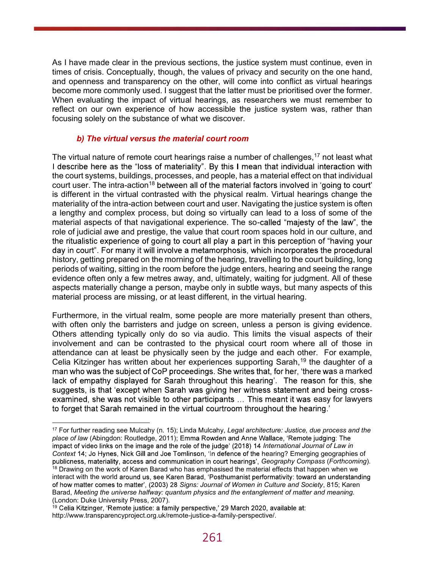As I have made clear in the previous sections, the justice system must continue, even in times of crisis. Conceptually, though, the values of privacy and security on the one hand, and openness and transparency on the other, will come into conflict as virtual hearings become more commonly used. I suggest that the latter must be prioritised over the former. When evaluating the impact of virtual hearings, as researchers we must remember to reflect on our own experience of how accessible the justice system was, rather than focusing solely on the substance of what we discover.

## b) The virtual versus the material court room

The virtual nature of remote court hearings raise a number of challenges,<sup>17</sup> not least what I describe here as the "loss of materiality". By this I mean that individual interaction with the court systems, buildings, processes, and people, has a material effect on that individual court user. The intra-action<sup>18</sup> between all of the material factors involved in 'going to court' is different in the virtual contrasted with the physical realm. Virtual hearings change the materiality of the intra-action between court and user. Navigating the justice system is often a lengthy and complex process, but doing so virtually can lead to a loss of some of the material aspects of that navigational experience. The so-called "majesty of the law", the role of judicial awe and prestige, the value that court room spaces hold in our culture, and the ritualistic experience of going to court all play a part in this perception of "having your day in court". For many it will involve a metamorphosis, which incorporates the procedural history, getting prepared on the morning of the hearing, travelling to the court building, long periods of waiting, sitting in the room before the judge enters, hearing and seeing the range evidence often only a few metres away, and, ultimately, waiting for judgment. All of these aspects materially change a person, maybe only in subtle ways, but many aspects of this material process are missing, or at least different, in the virtual hearing.

Furthermore, in the virtual realm, some people are more materially present than others, with often only the barristers and judge on screen, unless a person is giving evidence. Others attending typically only do so via audio. This limits the visual aspects of their involvement and can be contrasted to the physical court room where all of those in attendance can at least be physically seen by the judge and each other. For example, Celia Kitzinger has written about her experiences supporting Sarah,<sup>19</sup> the daughter of a man who was the subject of CoP proceedings. She writes that, for her, 'there was a marked lack of empathy displayed for Sarah throughout this hearing'. The reason for this, she suggests, is that 'except when Sarah was givi examined, she was not visible to other participants ... This meant it was easy for lawyers<br>to forget that Sarah remained in the virtual courtroom throughout the hearing.'<br>The further reading see Mulcahy (n. 15); Linda Mulc

place of law (Abingdon: Routledge, 2011); Emma Rowden and Anne Wallace, 'Remote judging: The impact of video links on the image and the role of the judge' (2018) 14 International Journal of Law in Context 14; Jo Hynes, Nick Gill and Joe Tomlinson, 'In defence of the hearing? Emerging geographies of publicness, materiality, access and communication in court hearings', Geography Compass (Forthcoming).

<sup>18</sup> Drawing on the work of Karen Barad who has emphasised the material effects that happen when we interact with the world around us, see Karen Barad, 'Posthumanist performativity: toward an understanding of how matter comes to matter', (2003) 28 Signs: Journal of Women in Culture and Society, 815; Karen Barad, Meeting the universe halfway: quantum physics and the entanglement of matter and meaning. (London: Duke University Press, 2007).

<sup>&</sup>lt;sup>19</sup> Celia Kitzinger, 'Remote justice: a family perspective,' 29 March 2020, available at: http://www.transparencyproject.org.uk/remote-justice-a-family-perspective/.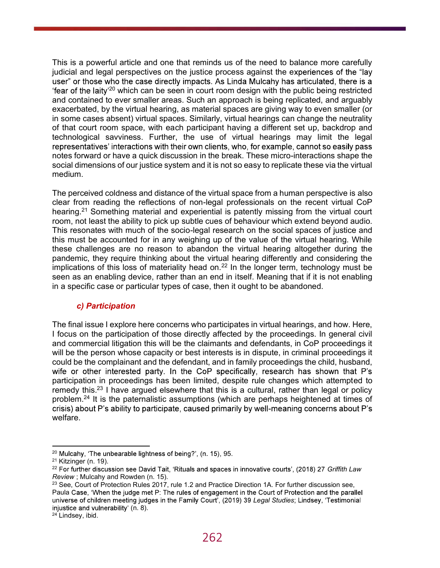This is a powerful article and one that reminds us of the need to balance more carefully judicial and legal perspectives on the justice process against the experiences of the "lay user" or those who the case directly impacts. As Linda Mulcahy has articulated, there is a "fear of the laity<sup>'20</sup> which can be seen in court room design with the public being restricted and contained to ever smaller areas. Such an approach is being replicated, and arguably exacerbated, by the virtual hearing, as material spaces are giving way to even smaller (or in some cases absent) virtual spaces. Similarly, virtual hearings can change the neutrality of that court room space, with each participant having a different set up, backdrop and technological savviness. Further, the use of virtual hearings may limit the legal representatives' interactions with their own clients, who, for example, cannot so easily pass notes forward or have a quick discussion in the break. These micro-interactions shape the social dimensions of our justice system and it is not so easy to replicate these via the virtual medium.

The perceived coldness and distance of the virtual space from a human perspective is also clear from reading the reflections of non-legal professionals on the recent virtual CoP hearing.<sup>21</sup> Something material and experiential is patently missing from the virtual court room, not least the ability to pick up subtle cues of behaviour which extend beyond audio. This resonates with much of the socio-legal research on the social spaces of justice and this must be accounted for in any weighing up of the value of the virtual hearing. While these challenges are no reason to abandon the virtual hearing altogether during the pandemic, they require thinking about the virtual hearing differently and considering the implications of this loss of materiality head on.<sup>22</sup> In the longer term, technology must be seen as an enabling device, rather than an end in itself. Meaning that if it is not enabling in a specific case or particular types of case, then it ought to be abandoned.

## c) Participation

The final issue I explore here concerns who participates in virtual hearings, and how. Here, I focus on the participation of those directly affected by the proceedings. In general civil and commercial litigation this will be the claimants and defendants, in CoP proceedings it will be the person whose capacity or best interests is in dispute, in criminal proceedings it could be the complainant and the defendant, and in family proceedings the child, husband, wife or other interested party. In the CoP specifically, research has shown that P's participation in proceedings has been limited, despite rule changes which attempted to remedy this.<sup>23</sup> I have argued elsewhere that this is a cultural, rather than legal or policy problem.<sup>24</sup> It is the paternalistic assumptions (which are perhaps heightened at times of crisis) about P's ability to participate, caused primarily by well-meaning concerns about P's welfare.

<sup>&</sup>lt;sup>20</sup> Mulcahy, 'The unbearable lightness of being?', (n. 15), 95.<br><sup>21</sup> Kitzinger (n. 19).<br><sup>22</sup> For further discussion see David Tait, 'Rituals and spaces in innovative courts', (2018) 27 *Griffith Law* Review ; Mulcahy and Rowden (n. 15).

<sup>&</sup>lt;sup>23</sup> See, Court of Protection Rules 2017, rule 1.2 and Practice Direction 1A. For further discussion see, Paula Case, 'When the judge met P: The rules of engagement in the Court of Protection and the parallel universe of children meeting judges in the Family Court', (2019) 39 Legal Studies; Lindsey, 'Testimonial injustice and vulnerability' (n. 8).<br><sup>24</sup> Lindsey, ibid.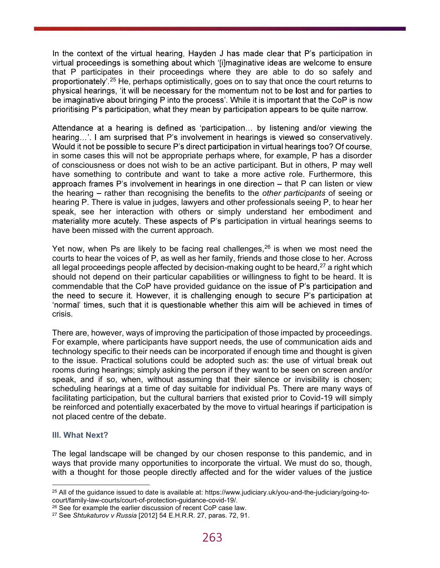In the context of the virtual hearing, Hayden J has made clear that P's participation in virtual proceedings is something about which '[i]maginative ideas are welcome to ensure that P participates in their proceedings where they are able to do so safely and proportionately'.<sup>25</sup> He, perhaps optimistically, goes on to say that once the court returns to physical hearings, 'it will be necessary for the momentum not to be lost and for parties to be imaginative about bringing P into the process'. While it is important that the CoP is now prioritising P's participation, what they mean by participation appears to be quite narrow.

Attendance at a hearing is defined as 'participation... by listening and/or viewing the hearing...'. I am surprised that P's involvement in hearings is viewed so conservatively. Would it not be possible to secure P's direct participation in virtual hearings too? Of course, in some cases this will not be appropriate perhaps where, for example, P has a disorder of consciousness or does not wish to be an active participant. But in others, P may well have something to contribute and want to take a more active role. Furthermore, this approach frames  $P$ 's involvement in hearings in one direction  $-$  that  $P$  can listen or view the hearing – rather than recognising the benefits to the *other participants* of seeing or hearing P. There is value in judges, lawyers and other professionals seeing P, to hear her speak, see her interaction with others or simply understand her embodiment and materiality more acutely. These aspects of P's participation in virtual hearings seems to have been missed with the current approach.

Yet now, when Ps are likely to be facing real challenges,  $26$  is when we most need the courts to hear the voices of P, as well as her family, friends and those close to her. Across all legal proceedings people affected by decision-making ought to be heard, $27$  a right which should not depend on their particular capabilities or willingness to fight to be heard. It is commendable that the CoP have provided quidance on the issue of P's participation and the need to secure it. However, it is challenging enough to secure P's participation at 'normal' times, such that it is questionable whether this aim will be achieved in times of crisis.

There are, however, ways of improving the participation of those impacted by proceedings. For example, where participants have support needs, the use of communication aids and technology specific to their needs can be incorporated if enough time and thought is given to the issue. Practical solutions could be adopted such as: the use of virtual break out rooms during hearings; simply asking the person if they want to be seen on screen and/or speak, and if so, when, without assuming that their silence or invisibility is chosen; scheduling hearings at a time of day suitable for individual Ps. There are many ways of facilitating participation, but the cultural barriers that existed prior to Covid-19 will simply be reinforced and potentially exacerbated by the move to virtual hearings if participation is not placed centre of the debate.

### III. What Next?

The legal landscape will be changed by our chosen response to this pandemic, and in ways that provide many opportunities to incorporate the virtual. We must do so, though, with a thought for those people directly affected and for the wider values of the justice

 $25$  All of the guidance issued to date is available at: https://www.judiciary.uk/you-and-the-judiciary/going-tocourt/family-law-courts/court-of-protection-guidance-covid-19/.

<sup>&</sup>lt;sup>26</sup> See for example the earlier discussion of recent CoP case law.<br><sup>27</sup> See *Shtukaturov v Russia* [2012] 54 E.H.R.R. 27, paras. 72, 91.